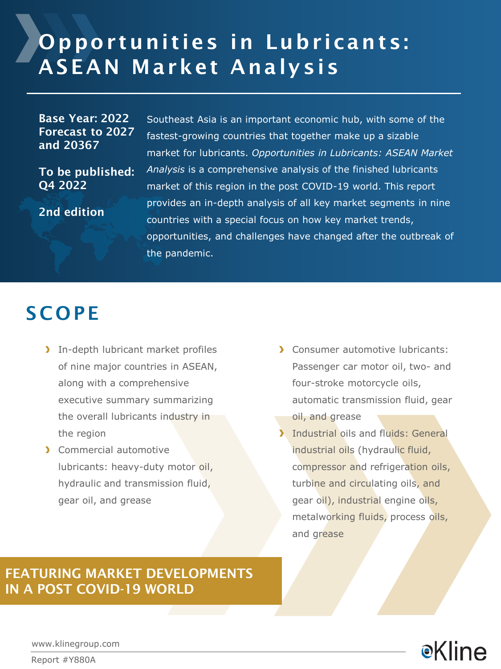# Opportunities in Lubricants: ASEAN Market Analysis

Base Year: 2022 Forecast to 2027 and 20367

To be published: Q4 2022

2nd edition

Southeast Asia is an important economic hub, with some of the fastest-growing countries that together make up a sizable market for lubricants. *Opportunities in Lubricants: ASEAN Market Analysis* is a comprehensive analysis of the finished lubricants market of this region in the post COVID-19 world. This report provides an in-depth analysis of all key market segments in nine countries with a special focus on how key market trends, opportunities, and challenges have changed after the outbreak of the pandemic.

### **SCOPE**

- In-depth lubricant market profiles of nine major countries in ASEAN, along with a comprehensive executive summary summarizing the overall lubricants industry in the region
- > Commercial automotive lubricants: heavy-duty motor oil, hydraulic and transmission fluid, gear oil, and grease
- **Consumer automotive lubricants:** Passenger car motor oil, two- and four-stroke motorcycle oils, automatic transmission fluid, gear oil, and grease
- **Industrial oils and fluids: General** industrial oils (hydraulic fluid, compressor and refrigeration oils, turbine and circulating oils, and gear oil), industrial engine oils, metalworking fluids, process oils, and grease

### FEATURING MARKET DEVELOPMENTS IN A POST COVID-19 WORLD

**e**Kline

www.klinegroup.com

Report #Y880A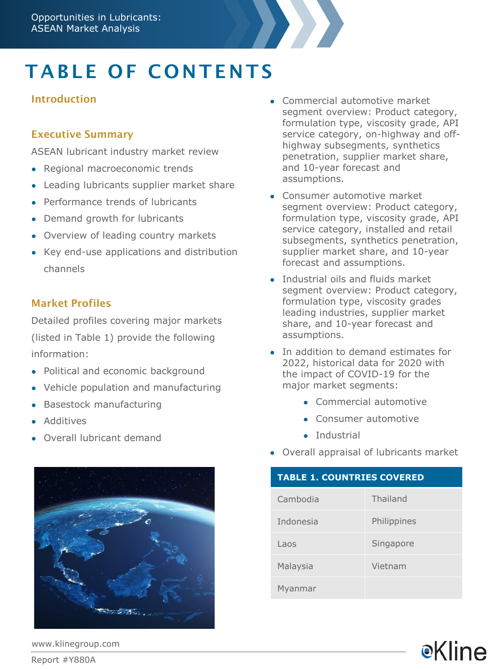# TABLE OF CONTENTS

#### Introduction

#### Executive Summary

ASEAN lubricant industry market review

- Regional macroeconomic trends
- Leading lubricants supplier market share
- Performance trends of lubricants
- Demand growth for lubricants
- Overview of leading country markets
- Key end-use applications and distribution channels

#### Market Profiles

Detailed profiles covering major markets (listed in Table 1) provide the following information:

- Political and economic background
- Vehicle population and manufacturing
- **Basestock manufacturing**
- **Additives**
- Overall lubricant demand



- Commercial automotive market segment overview: Product category, formulation type, viscosity grade, API service category, on-highway and offhighway subsegments, synthetics penetration, supplier market share, and 10-year forecast and assumptions.
- Consumer automotive market segment overview: Product category, formulation type, viscosity grade, API service category, installed and retail subsegments, synthetics penetration, supplier market share, and 10-year forecast and assumptions.
- Industrial oils and fluids market segment overview: Product category, formulation type, viscosity grades leading industries, supplier market share, and 10-year forecast and assumptions.
- In addition to demand estimates for 2022, historical data for 2020 with the impact of COVID-19 for the major market segments:
	- Commercial automotive
	- Consumer automotive
	- Industrial
- Overall appraisal of lubricants market

#### **TABLE 1. COUNTRIES COVERED**

| Cambodia  | Thailand    |
|-----------|-------------|
| Indonesia | Philippines |
| Laos      | Singapore   |
| Malaysia  | Vietnam     |
| Myanmar   |             |

**e**Kline